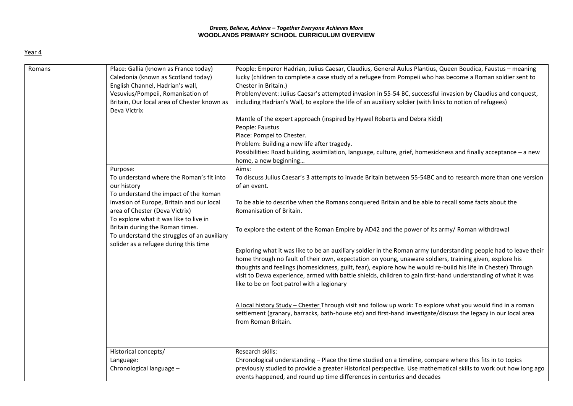## *Dream, Believe, Achieve – Together Everyone Achieves More* **WOODLANDS PRIMARY SCHOOL CURRICULUM OVERVIEW**

| ۰. |  |
|----|--|
|    |  |

| Romans | Place: Gallia (known as France today)<br>Caledonia (known as Scotland today)<br>English Channel, Hadrian's wall,<br>Vesuvius/Pompeii, Romanisation of<br>Britain, Our local area of Chester known as<br>Deva Victrix<br>Purpose:<br>To understand where the Roman's fit into | People: Emperor Hadrian, Julius Caesar, Claudius, General Aulus Plantius, Queen Boudica, Faustus - meaning<br>lucky (children to complete a case study of a refugee from Pompeii who has become a Roman soldier sent to<br>Chester in Britain.)<br>Problem/event: Julius Caesar's attempted invasion in 55-54 BC, successful invasion by Claudius and conquest,<br>including Hadrian's Wall, to explore the life of an auxiliary soldier (with links to notion of refugees)<br>Mantle of the expert approach (inspired by Hywel Roberts and Debra Kidd)<br>People: Faustus<br>Place: Pompei to Chester.<br>Problem: Building a new life after tragedy.<br>Possibilities: Road building, assimilation, language, culture, grief, homesickness and finally acceptance - a new<br>home, a new beginning<br>Aims:<br>To discuss Julius Caesar's 3 attempts to invade Britain between 55-54BC and to research more than one version |
|--------|------------------------------------------------------------------------------------------------------------------------------------------------------------------------------------------------------------------------------------------------------------------------------|--------------------------------------------------------------------------------------------------------------------------------------------------------------------------------------------------------------------------------------------------------------------------------------------------------------------------------------------------------------------------------------------------------------------------------------------------------------------------------------------------------------------------------------------------------------------------------------------------------------------------------------------------------------------------------------------------------------------------------------------------------------------------------------------------------------------------------------------------------------------------------------------------------------------------------|
|        | our history<br>To understand the impact of the Roman<br>invasion of Europe, Britain and our local<br>area of Chester (Deva Victrix)<br>To explore what it was like to live in                                                                                                | of an event.<br>To be able to describe when the Romans conquered Britain and be able to recall some facts about the<br>Romanisation of Britain.                                                                                                                                                                                                                                                                                                                                                                                                                                                                                                                                                                                                                                                                                                                                                                                |
|        | Britain during the Roman times.<br>To understand the struggles of an auxiliary<br>solider as a refugee during this time                                                                                                                                                      | To explore the extent of the Roman Empire by AD42 and the power of its army/ Roman withdrawal<br>Exploring what it was like to be an auxiliary soldier in the Roman army (understanding people had to leave their<br>home through no fault of their own, expectation on young, unaware soldiers, training given, explore his<br>thoughts and feelings (homesickness, guilt, fear), explore how he would re-build his life in Chester) Through<br>visit to Dewa experience, armed with battle shields, children to gain first-hand understanding of what it was<br>like to be on foot patrol with a legionary                                                                                                                                                                                                                                                                                                                   |
|        |                                                                                                                                                                                                                                                                              | A local history Study - Chester Through visit and follow up work: To explore what you would find in a roman<br>settlement (granary, barracks, bath-house etc) and first-hand investigate/discuss the legacy in our local area<br>from Roman Britain.                                                                                                                                                                                                                                                                                                                                                                                                                                                                                                                                                                                                                                                                           |
|        | Historical concepts/<br>Language:<br>Chronological language -                                                                                                                                                                                                                | Research skills:<br>Chronological understanding - Place the time studied on a timeline, compare where this fits in to topics<br>previously studied to provide a greater Historical perspective. Use mathematical skills to work out how long ago<br>events happened, and round up time differences in centuries and decades                                                                                                                                                                                                                                                                                                                                                                                                                                                                                                                                                                                                    |